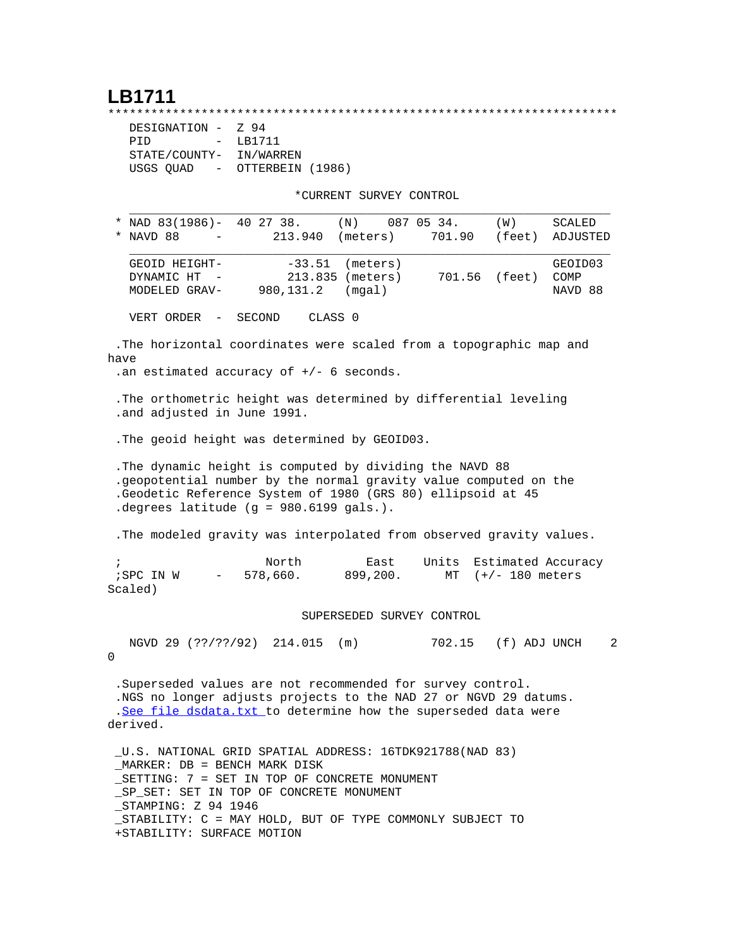## **LB1711**

\*\*\*\*\*\*\*\*\*\*\*\*\*\*\*\*\*\*\*\*\*\*\*\*\*\*\*\*\*\*\*\*\*\*\*\*\*\*\*\*\*\*\*\*\*\*\*\*\*\*\*\*\*\*\*\*\*\*\*\*\*\*\*\*\*\*\*\*\*\*\* DESIGNATION - Z 94 PID - LB1711 STATE/COUNTY- IN/WARREN USGS QUAD - OTTERBEIN (1986)

\*CURRENT SURVEY CONTROL

|                         | * NAVD 88                                    |            |                                 | * NAD 83(1986)- 40 27 38.<br>213.940                                                                                                                                               |                    | (N)<br>(meters)                        | 087 05 34.<br>701.90      | (W)<br>(feet)                                                                                                                      | SCALED<br>ADJUSTED         |
|-------------------------|----------------------------------------------|------------|---------------------------------|------------------------------------------------------------------------------------------------------------------------------------------------------------------------------------|--------------------|----------------------------------------|---------------------------|------------------------------------------------------------------------------------------------------------------------------------|----------------------------|
|                         | GEOID HEIGHT-<br>DYNAMIC HT<br>MODELED GRAV- |            |                                 | $-33.51$<br>980,131.2                                                                                                                                                              |                    | (meters)<br>213.835 (meters)<br>(mqal) |                           | 701.56 (feet)                                                                                                                      | GEOID03<br>COMP<br>NAVD 88 |
|                         | VERT ORDER                                   | $\sim$ $-$ |                                 | SECOND                                                                                                                                                                             | CLASS <sub>0</sub> |                                        |                           |                                                                                                                                    |                            |
| have                    |                                              |            |                                 | .an estimated accuracy of $+/-$ 6 seconds.                                                                                                                                         |                    |                                        |                           | .The horizontal coordinates were scaled from a topographic map and                                                                 |                            |
|                         |                                              |            |                                 | .and adjusted in June 1991.                                                                                                                                                        |                    |                                        |                           | . The orthometric height was determined by differential leveling                                                                   |                            |
|                         |                                              |            |                                 | . The geoid height was determined by GEOID03.                                                                                                                                      |                    |                                        |                           |                                                                                                                                    |                            |
|                         |                                              |            |                                 | . The dynamic height is computed by dividing the NAVD 88<br>. degrees latitude $(g = 980.6199$ gals.).                                                                             |                    |                                        |                           | .geopotential number by the normal gravity value computed on the<br>.Geodetic Reference System of 1980 (GRS 80) ellipsoid at 45    |                            |
|                         |                                              |            |                                 |                                                                                                                                                                                    |                    |                                        |                           | . The modeled gravity was interpolated from observed gravity values.                                                               |                            |
| $\mathbf{r}$<br>Scaled) | ; SPC IN W                                   |            | $\frac{1}{2}$ and $\frac{1}{2}$ | North<br>578,660.                                                                                                                                                                  |                    | East<br>899,200.                       | Units<br>MT               | Estimated Accuracy<br>$(+/- 180$ meters                                                                                            |                            |
|                         |                                              |            |                                 |                                                                                                                                                                                    |                    |                                        | SUPERSEDED SURVEY CONTROL |                                                                                                                                    |                            |
| 0                       |                                              |            |                                 | NGVD 29 (??/??/92) 214.015 (m)                                                                                                                                                     |                    |                                        |                           | 702.15 (f) ADJ UNCH                                                                                                                |                            |
| derived.                |                                              |            |                                 | .Superseded values are not recommended for survey control.                                                                                                                         |                    |                                        |                           | .NGS no longer adjusts projects to the NAD 27 or NGVD 29 datums.<br>.See file dsdata.txt to determine how the superseded data were |                            |
|                         |                                              |            |                                 | U.S. NATIONAL GRID SPATIAL ADDRESS: 16TDK921788(NAD 83)<br>MARKER: DB = BENCH MARK DISK<br>SETTING: 7 = SET IN TOP OF CONCRETE MONUMENT<br>SP SET: SET IN TOP OF CONCRETE MONUMENT |                    |                                        |                           |                                                                                                                                    |                            |

\_STAMPING: Z 94 1946

 \_STABILITY: C = MAY HOLD, BUT OF TYPE COMMONLY SUBJECT TO +STABILITY: SURFACE MOTION